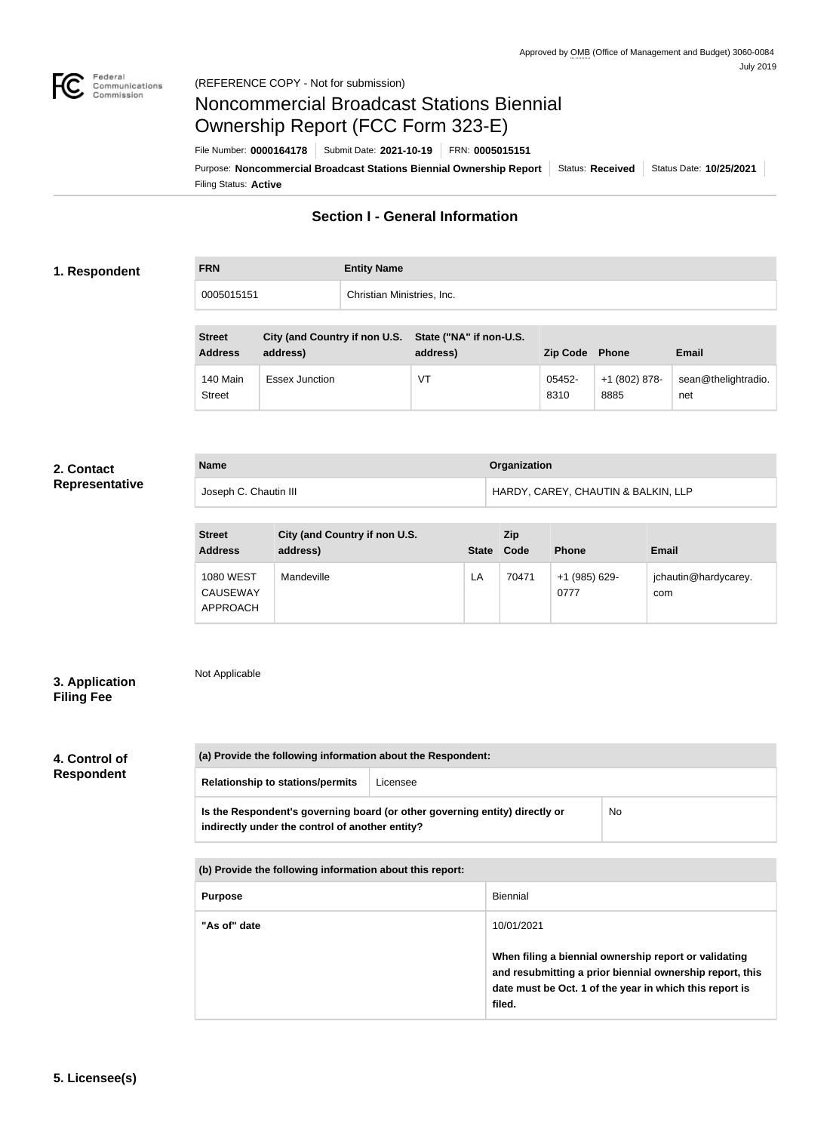

# Noncommercial Broadcast Stations Biennial Ownership Report (FCC Form 323-E)

Filing Status: **Active** Purpose: Noncommercial Broadcast Stations Biennial Ownership Report | Status: Received | Status Date: 10/25/2021 File Number: **0000164178** Submit Date: **2021-10-19** FRN: **0005015151**

# **Section I - General Information**

### **1. Respondent**

| <b>FRN</b> | <b>Entity Name</b>         |
|------------|----------------------------|
| 0005015151 | Christian Ministries, Inc. |

| <b>Street</b><br><b>Address</b> | City (and Country if non U.S. State ("NA" if non-U.S.<br>address) | address) | Zip Code Phone |                       | <b>Email</b>               |
|---------------------------------|-------------------------------------------------------------------|----------|----------------|-----------------------|----------------------------|
| 140 Main<br><b>Street</b>       | <b>Essex Junction</b>                                             | VT       | 05452-<br>8310 | +1 (802) 878-<br>8885 | sean@thelightradio.<br>net |

#### **2. Contact Representative**

| <b>Name</b>           | Organization                        |
|-----------------------|-------------------------------------|
| Joseph C. Chautin III | HARDY, CAREY, CHAUTIN & BALKIN, LLP |

| <b>Street</b><br><b>Address</b>                 | City (and Country if non U.S.<br>address) | <b>State</b> | <b>Zip</b><br>Code | <b>Phone</b>          | <b>Email</b>                |
|-------------------------------------------------|-------------------------------------------|--------------|--------------------|-----------------------|-----------------------------|
| <b>1080 WEST</b><br><b>CAUSEWAY</b><br>APPROACH | Mandeville                                | LA           | 70471              | +1 (985) 629-<br>0777 | jchautin@hardycarey.<br>com |

## **3. Application Filing Fee**

# Not Applicable

# **4. Control of Respondent**

| (a) Provide the following information about the Respondent: |                                                                             |    |  |  |
|-------------------------------------------------------------|-----------------------------------------------------------------------------|----|--|--|
| <b>Relationship to stations/permits</b>                     | Licensee                                                                    |    |  |  |
| indirectly under the control of another entity?             | Is the Respondent's governing board (or other governing entity) directly or | No |  |  |

| (b) Provide the following information about this report: |                                                                                                                                                                                        |
|----------------------------------------------------------|----------------------------------------------------------------------------------------------------------------------------------------------------------------------------------------|
| <b>Purpose</b>                                           | Biennial                                                                                                                                                                               |
| "As of" date                                             | 10/01/2021                                                                                                                                                                             |
|                                                          | When filing a biennial ownership report or validating<br>and resubmitting a prior biennial ownership report, this<br>date must be Oct. 1 of the year in which this report is<br>filed. |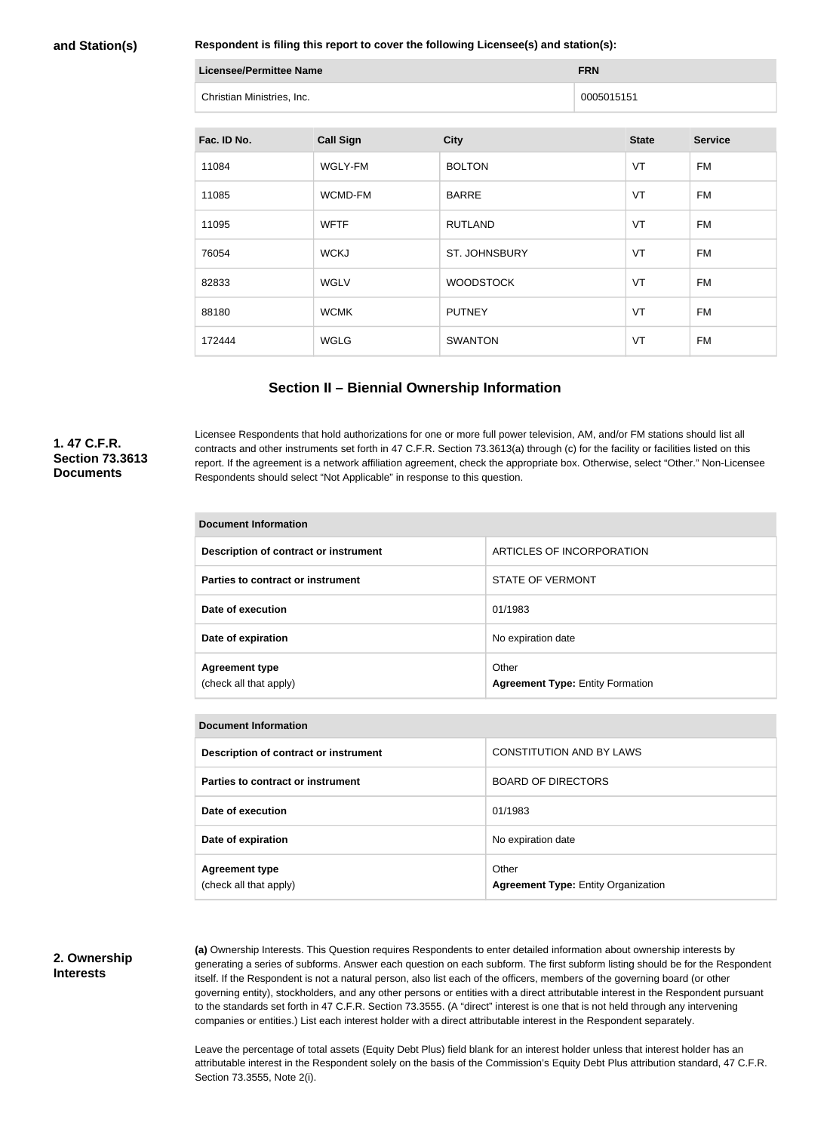#### **and Station(s)**

**Respondent is filing this report to cover the following Licensee(s) and station(s):**

| Licensee/Permittee Name    | <b>FRN</b> |
|----------------------------|------------|
| Christian Ministries, Inc. | 0005015151 |

| Fac. ID No. | <b>Call Sign</b> | <b>City</b>      | <b>State</b> | <b>Service</b> |
|-------------|------------------|------------------|--------------|----------------|
| 11084       | WGLY-FM          | <b>BOLTON</b>    | VT           | <b>FM</b>      |
| 11085       | WCMD-FM          | <b>BARRE</b>     | VT           | <b>FM</b>      |
| 11095       | <b>WFTF</b>      | <b>RUTLAND</b>   | VT           | <b>FM</b>      |
| 76054       | <b>WCKJ</b>      | ST. JOHNSBURY    | VT           | FM             |
| 82833       | <b>WGLV</b>      | <b>WOODSTOCK</b> | VT           | FM             |
| 88180       | <b>WCMK</b>      | <b>PUTNEY</b>    | VT           | <b>FM</b>      |
| 172444      | WGLG             | <b>SWANTON</b>   | VT           | FM             |

## **Section II – Biennial Ownership Information**

#### **1. 47 C.F.R. Section 73.3613 Documents**

Licensee Respondents that hold authorizations for one or more full power television, AM, and/or FM stations should list all contracts and other instruments set forth in 47 C.F.R. Section 73.3613(a) through (c) for the facility or facilities listed on this report. If the agreement is a network affiliation agreement, check the appropriate box. Otherwise, select "Other." Non-Licensee Respondents should select "Not Applicable" in response to this question.

| <b>Document Information</b>                     |                                                  |  |  |
|-------------------------------------------------|--------------------------------------------------|--|--|
| Description of contract or instrument           | ARTICLES OF INCORPORATION                        |  |  |
| Parties to contract or instrument               | STATE OF VERMONT                                 |  |  |
| Date of execution                               | 01/1983                                          |  |  |
| Date of expiration                              | No expiration date                               |  |  |
| <b>Agreement type</b><br>(check all that apply) | Other<br><b>Agreement Type: Entity Formation</b> |  |  |

| Document Information                            |                                                     |  |  |
|-------------------------------------------------|-----------------------------------------------------|--|--|
| Description of contract or instrument           | CONSTITUTION AND BY LAWS                            |  |  |
| Parties to contract or instrument               | <b>BOARD OF DIRECTORS</b>                           |  |  |
| Date of execution                               | 01/1983                                             |  |  |
| Date of expiration                              | No expiration date                                  |  |  |
| <b>Agreement type</b><br>(check all that apply) | Other<br><b>Agreement Type: Entity Organization</b> |  |  |

## **2. Ownership Interests**

**(a)** Ownership Interests. This Question requires Respondents to enter detailed information about ownership interests by generating a series of subforms. Answer each question on each subform. The first subform listing should be for the Respondent itself. If the Respondent is not a natural person, also list each of the officers, members of the governing board (or other governing entity), stockholders, and any other persons or entities with a direct attributable interest in the Respondent pursuant to the standards set forth in 47 C.F.R. Section 73.3555. (A "direct" interest is one that is not held through any intervening companies or entities.) List each interest holder with a direct attributable interest in the Respondent separately.

Leave the percentage of total assets (Equity Debt Plus) field blank for an interest holder unless that interest holder has an attributable interest in the Respondent solely on the basis of the Commission's Equity Debt Plus attribution standard, 47 C.F.R. Section 73.3555, Note 2(i).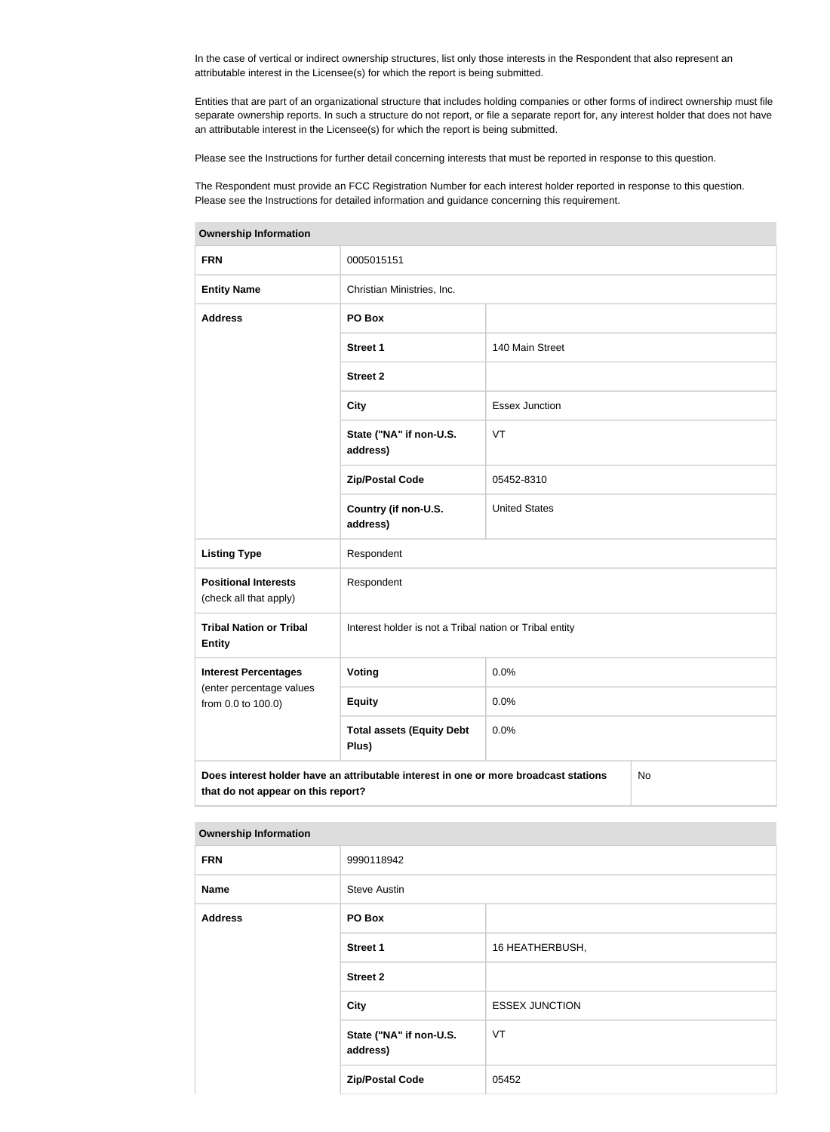In the case of vertical or indirect ownership structures, list only those interests in the Respondent that also represent an attributable interest in the Licensee(s) for which the report is being submitted.

Entities that are part of an organizational structure that includes holding companies or other forms of indirect ownership must file separate ownership reports. In such a structure do not report, or file a separate report for, any interest holder that does not have an attributable interest in the Licensee(s) for which the report is being submitted.

Please see the Instructions for further detail concerning interests that must be reported in response to this question.

The Respondent must provide an FCC Registration Number for each interest holder reported in response to this question. Please see the Instructions for detailed information and guidance concerning this requirement.

| <b>Ownership Information</b>                                                                                                     |                                                         |                       |  |  |
|----------------------------------------------------------------------------------------------------------------------------------|---------------------------------------------------------|-----------------------|--|--|
| <b>FRN</b>                                                                                                                       | 0005015151                                              |                       |  |  |
| <b>Entity Name</b>                                                                                                               | Christian Ministries, Inc.                              |                       |  |  |
| <b>Address</b>                                                                                                                   | PO Box                                                  |                       |  |  |
|                                                                                                                                  | <b>Street 1</b>                                         | 140 Main Street       |  |  |
|                                                                                                                                  | <b>Street 2</b>                                         |                       |  |  |
|                                                                                                                                  | <b>City</b>                                             | <b>Essex Junction</b> |  |  |
|                                                                                                                                  | State ("NA" if non-U.S.<br>address)                     | VT                    |  |  |
|                                                                                                                                  | <b>Zip/Postal Code</b>                                  | 05452-8310            |  |  |
|                                                                                                                                  | Country (if non-U.S.<br>address)                        | <b>United States</b>  |  |  |
| <b>Listing Type</b>                                                                                                              | Respondent                                              |                       |  |  |
| <b>Positional Interests</b><br>(check all that apply)                                                                            | Respondent                                              |                       |  |  |
| <b>Tribal Nation or Tribal</b><br><b>Entity</b>                                                                                  | Interest holder is not a Tribal nation or Tribal entity |                       |  |  |
| <b>Interest Percentages</b>                                                                                                      | Voting                                                  | 0.0%                  |  |  |
| (enter percentage values<br>from 0.0 to 100.0)                                                                                   | <b>Equity</b>                                           | 0.0%                  |  |  |
|                                                                                                                                  | <b>Total assets (Equity Debt</b><br>Plus)               | 0.0%                  |  |  |
| Does interest holder have an attributable interest in one or more broadcast stations<br>No<br>that do not appear on this report? |                                                         |                       |  |  |

| <b>Ownership Information</b> |                                     |                       |  |
|------------------------------|-------------------------------------|-----------------------|--|
| <b>FRN</b>                   | 9990118942                          |                       |  |
| <b>Name</b>                  | <b>Steve Austin</b>                 |                       |  |
| <b>Address</b>               | PO Box                              |                       |  |
|                              | <b>Street 1</b>                     | 16 HEATHERBUSH,       |  |
|                              | <b>Street 2</b>                     |                       |  |
|                              | <b>City</b>                         | <b>ESSEX JUNCTION</b> |  |
|                              | State ("NA" if non-U.S.<br>address) | VT                    |  |
|                              | <b>Zip/Postal Code</b>              | 05452                 |  |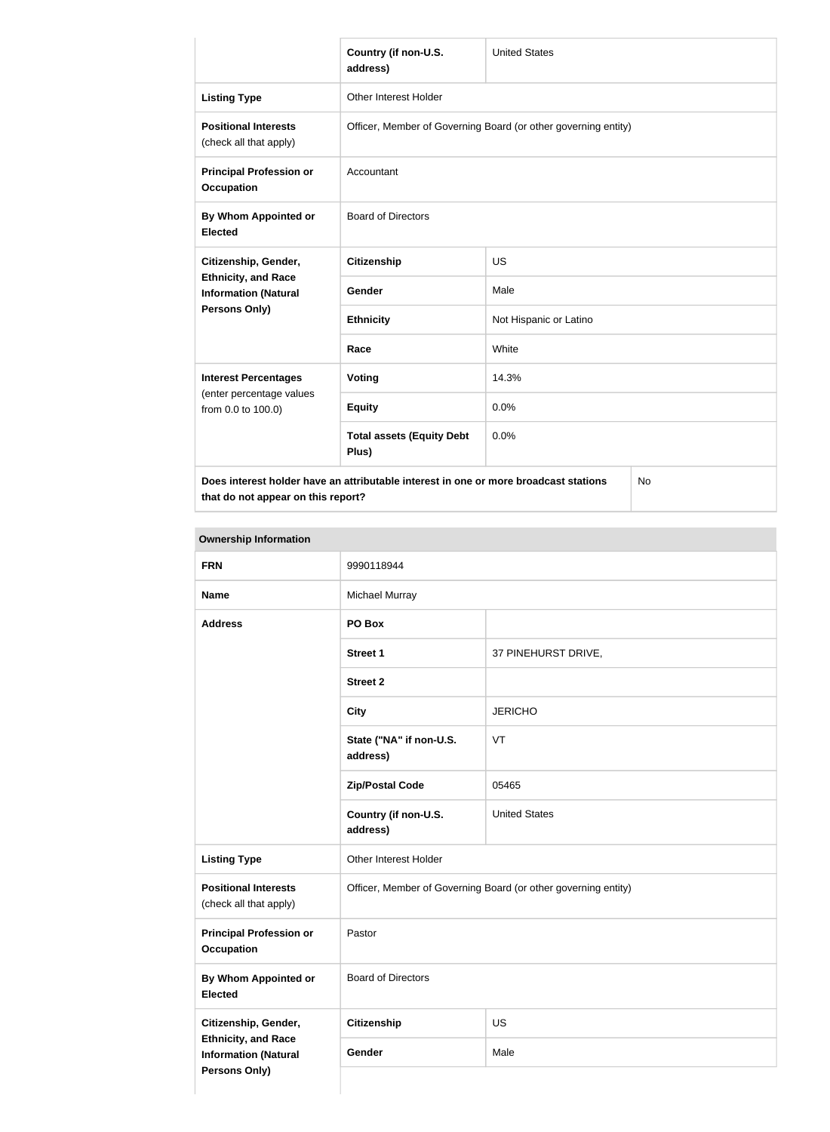|                                                           | Country (if non-U.S.<br>address)                                                     | <b>United States</b>   |  |
|-----------------------------------------------------------|--------------------------------------------------------------------------------------|------------------------|--|
| <b>Listing Type</b>                                       | <b>Other Interest Holder</b>                                                         |                        |  |
| <b>Positional Interests</b><br>(check all that apply)     | Officer, Member of Governing Board (or other governing entity)                       |                        |  |
| <b>Principal Profession or</b><br><b>Occupation</b>       | Accountant                                                                           |                        |  |
| By Whom Appointed or<br><b>Elected</b>                    | <b>Board of Directors</b>                                                            |                        |  |
| Citizenship, Gender,                                      | <b>Citizenship</b>                                                                   | <b>US</b>              |  |
| <b>Ethnicity, and Race</b><br><b>Information (Natural</b> | Gender                                                                               | Male                   |  |
| Persons Only)                                             | <b>Ethnicity</b>                                                                     | Not Hispanic or Latino |  |
|                                                           | Race                                                                                 | White                  |  |
| <b>Interest Percentages</b>                               | <b>Voting</b>                                                                        | 14.3%                  |  |
| (enter percentage values<br>from 0.0 to 100.0)            | <b>Equity</b>                                                                        | 0.0%                   |  |
|                                                           | <b>Total assets (Equity Debt</b><br>Plus)                                            | 0.0%                   |  |
|                                                           | Does interest holder have an attributable interest in one or more broadcast stations | No                     |  |

**that do not appear on this report?**

**Ownership Information FRN** 9990118944 **Name** Michael Murray **Address PO Box Street 1** 37 PINEHURST DRIVE, **Street 2 City** JERICHO **State ("NA" if non-U.S. address)** VT **Zip/Postal Code** 205465 **Country (if non-U.S. address)** United States **Listing Type Cineman Act Act Contract Holder Positional Interests** (check all that apply) Officer, Member of Governing Board (or other governing entity) **Principal Profession or Occupation** Pastor **By Whom Appointed or Elected** Board of Directors **Citizenship, Gender, Ethnicity, and Race Information (Natural Persons Only) Citizenship** US Gender Male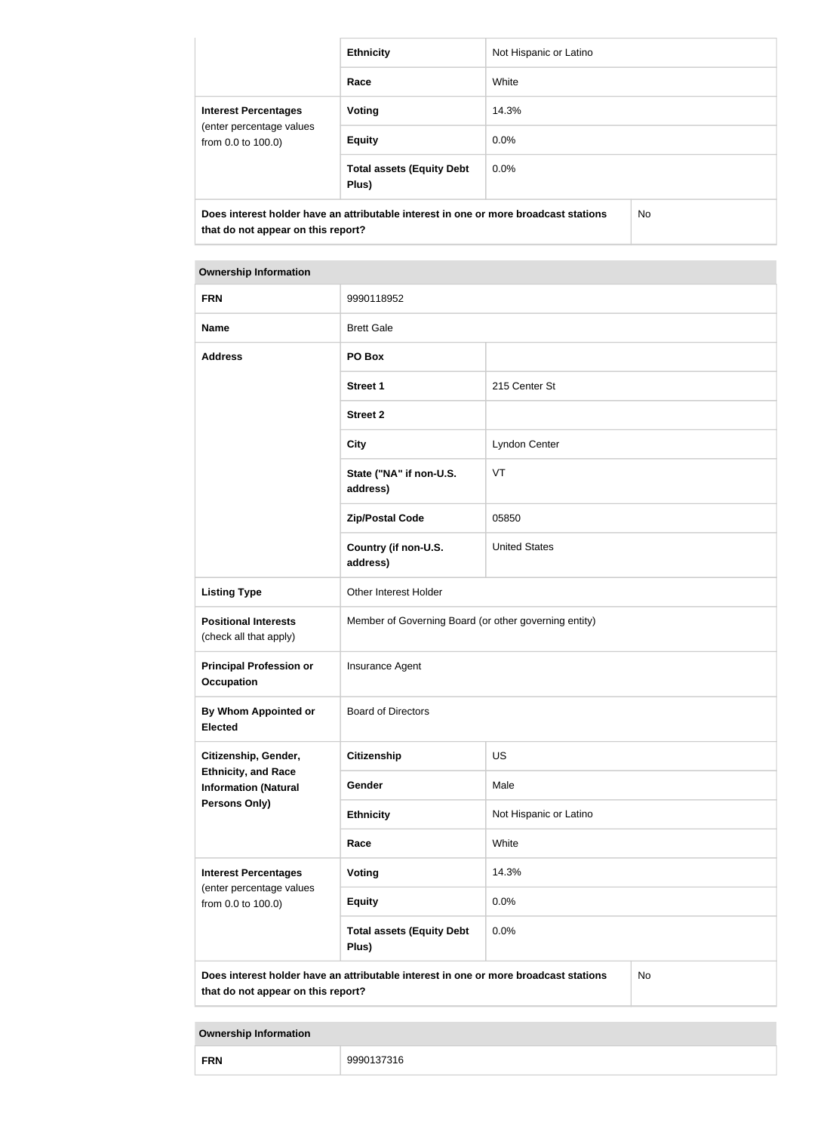|                                                                                                                            | <b>Ethnicity</b>                          | Not Hispanic or Latino |           |
|----------------------------------------------------------------------------------------------------------------------------|-------------------------------------------|------------------------|-----------|
|                                                                                                                            | Race                                      | White                  |           |
| <b>Interest Percentages</b><br>(enter percentage values<br>from 0.0 to 100.0)                                              | Voting                                    | 14.3%                  |           |
|                                                                                                                            | <b>Equity</b>                             | $0.0\%$                |           |
|                                                                                                                            | <b>Total assets (Equity Debt</b><br>Plus) | $0.0\%$                |           |
| Does interest holder have an attributable interest in one or more broadcast stations<br>that do not appear on this report? |                                           |                        | <b>No</b> |

#### **Ownership Information**

| <b>FRN</b>                                                                                                                       | 9990118952                                            |                        |  |  |
|----------------------------------------------------------------------------------------------------------------------------------|-------------------------------------------------------|------------------------|--|--|
| <b>Name</b>                                                                                                                      | <b>Brett Gale</b>                                     |                        |  |  |
| <b>Address</b>                                                                                                                   | PO Box                                                |                        |  |  |
|                                                                                                                                  | <b>Street 1</b>                                       | 215 Center St          |  |  |
|                                                                                                                                  | <b>Street 2</b>                                       |                        |  |  |
|                                                                                                                                  | <b>City</b>                                           | Lyndon Center          |  |  |
|                                                                                                                                  | State ("NA" if non-U.S.<br>address)                   | VT                     |  |  |
|                                                                                                                                  | <b>Zip/Postal Code</b>                                | 05850                  |  |  |
|                                                                                                                                  | Country (if non-U.S.<br>address)                      | <b>United States</b>   |  |  |
| <b>Listing Type</b>                                                                                                              | Other Interest Holder                                 |                        |  |  |
| <b>Positional Interests</b><br>(check all that apply)                                                                            | Member of Governing Board (or other governing entity) |                        |  |  |
| <b>Principal Profession or</b><br><b>Occupation</b>                                                                              | Insurance Agent                                       |                        |  |  |
| By Whom Appointed or<br><b>Elected</b>                                                                                           | <b>Board of Directors</b>                             |                        |  |  |
| Citizenship, Gender,                                                                                                             | US<br><b>Citizenship</b>                              |                        |  |  |
| <b>Ethnicity, and Race</b><br><b>Information (Natural</b>                                                                        | Gender                                                | Male                   |  |  |
| <b>Persons Only)</b>                                                                                                             | <b>Ethnicity</b>                                      | Not Hispanic or Latino |  |  |
|                                                                                                                                  | Race                                                  | White                  |  |  |
| <b>Interest Percentages</b>                                                                                                      | <b>Voting</b>                                         | 14.3%                  |  |  |
| (enter percentage values<br>from 0.0 to 100.0)                                                                                   | <b>Equity</b>                                         | 0.0%                   |  |  |
|                                                                                                                                  | <b>Total assets (Equity Debt</b><br>Plus)             | 0.0%                   |  |  |
| Does interest holder have an attributable interest in one or more broadcast stations<br>No<br>that do not appear on this report? |                                                       |                        |  |  |

**Ownership Information**

| <b>FRN</b> | $- - - -$<br>99901<br>316 |
|------------|---------------------------|
|------------|---------------------------|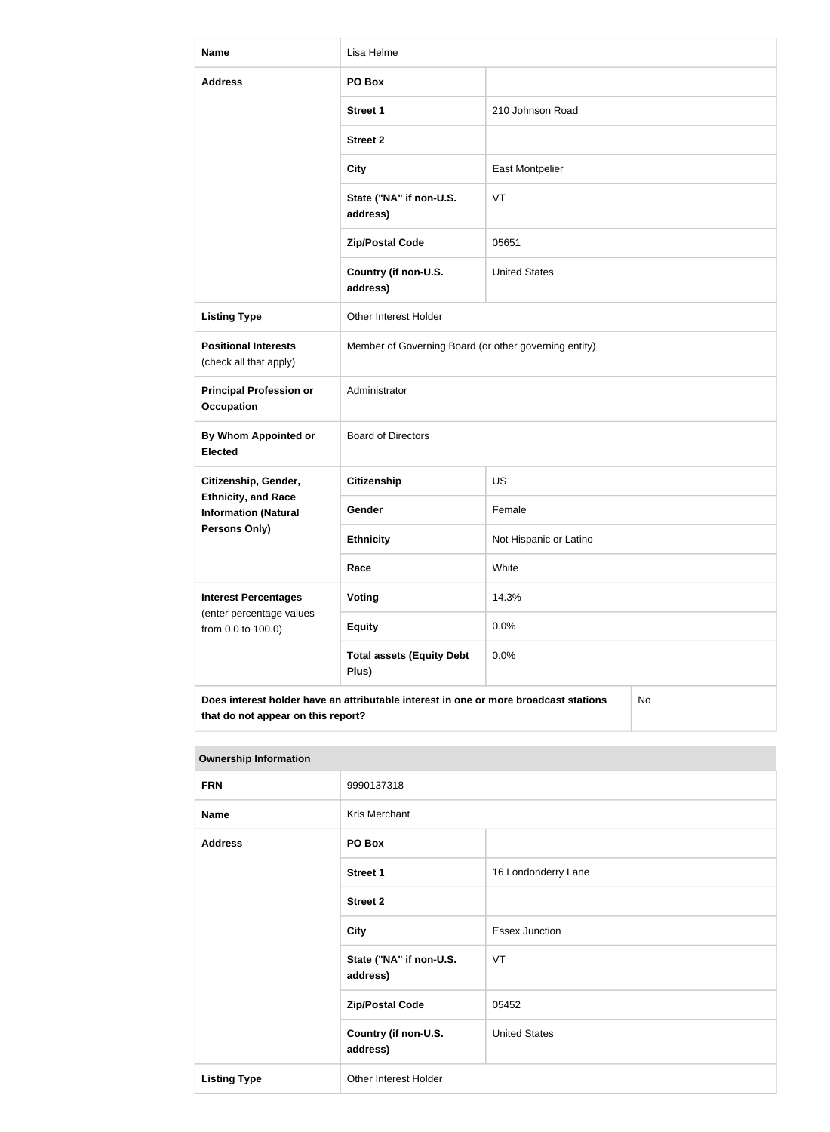| <b>Name</b>                                                                                                                      | Lisa Helme                                            |                        |  |
|----------------------------------------------------------------------------------------------------------------------------------|-------------------------------------------------------|------------------------|--|
| <b>Address</b>                                                                                                                   | PO Box                                                |                        |  |
|                                                                                                                                  | <b>Street 1</b>                                       | 210 Johnson Road       |  |
|                                                                                                                                  | <b>Street 2</b>                                       |                        |  |
|                                                                                                                                  | <b>City</b>                                           | <b>East Montpelier</b> |  |
|                                                                                                                                  | State ("NA" if non-U.S.<br>address)                   | VT                     |  |
|                                                                                                                                  | <b>Zip/Postal Code</b>                                | 05651                  |  |
|                                                                                                                                  | Country (if non-U.S.<br>address)                      | <b>United States</b>   |  |
| <b>Listing Type</b>                                                                                                              | Other Interest Holder                                 |                        |  |
| <b>Positional Interests</b><br>(check all that apply)                                                                            | Member of Governing Board (or other governing entity) |                        |  |
| <b>Principal Profession or</b><br><b>Occupation</b>                                                                              | Administrator                                         |                        |  |
| By Whom Appointed or<br><b>Elected</b>                                                                                           | <b>Board of Directors</b>                             |                        |  |
| Citizenship, Gender,                                                                                                             | <b>Citizenship</b>                                    | US                     |  |
| <b>Ethnicity, and Race</b><br><b>Information (Natural</b>                                                                        | Gender                                                | Female                 |  |
| <b>Persons Only)</b>                                                                                                             | <b>Ethnicity</b>                                      | Not Hispanic or Latino |  |
|                                                                                                                                  | Race                                                  | White                  |  |
| <b>Interest Percentages</b><br>(enter percentage values                                                                          | <b>Voting</b>                                         | 14.3%                  |  |
| from 0.0 to 100.0)                                                                                                               | <b>Equity</b>                                         | 0.0%                   |  |
|                                                                                                                                  | <b>Total assets (Equity Debt</b><br>Plus)             | 0.0%                   |  |
| Does interest holder have an attributable interest in one or more broadcast stations<br>No<br>that do not appear on this report? |                                                       |                        |  |

| <b>Ownership Information</b> |                                     |                       |
|------------------------------|-------------------------------------|-----------------------|
| <b>FRN</b>                   | 9990137318                          |                       |
| <b>Name</b>                  | Kris Merchant                       |                       |
| <b>Address</b>               | PO Box                              |                       |
|                              | <b>Street 1</b>                     | 16 Londonderry Lane   |
|                              | <b>Street 2</b>                     |                       |
|                              | <b>City</b>                         | <b>Essex Junction</b> |
|                              | State ("NA" if non-U.S.<br>address) | VT                    |
|                              | <b>Zip/Postal Code</b>              | 05452                 |
|                              | Country (if non-U.S.<br>address)    | <b>United States</b>  |
| <b>Listing Type</b>          | Other Interest Holder               |                       |

#### **Ownership Information**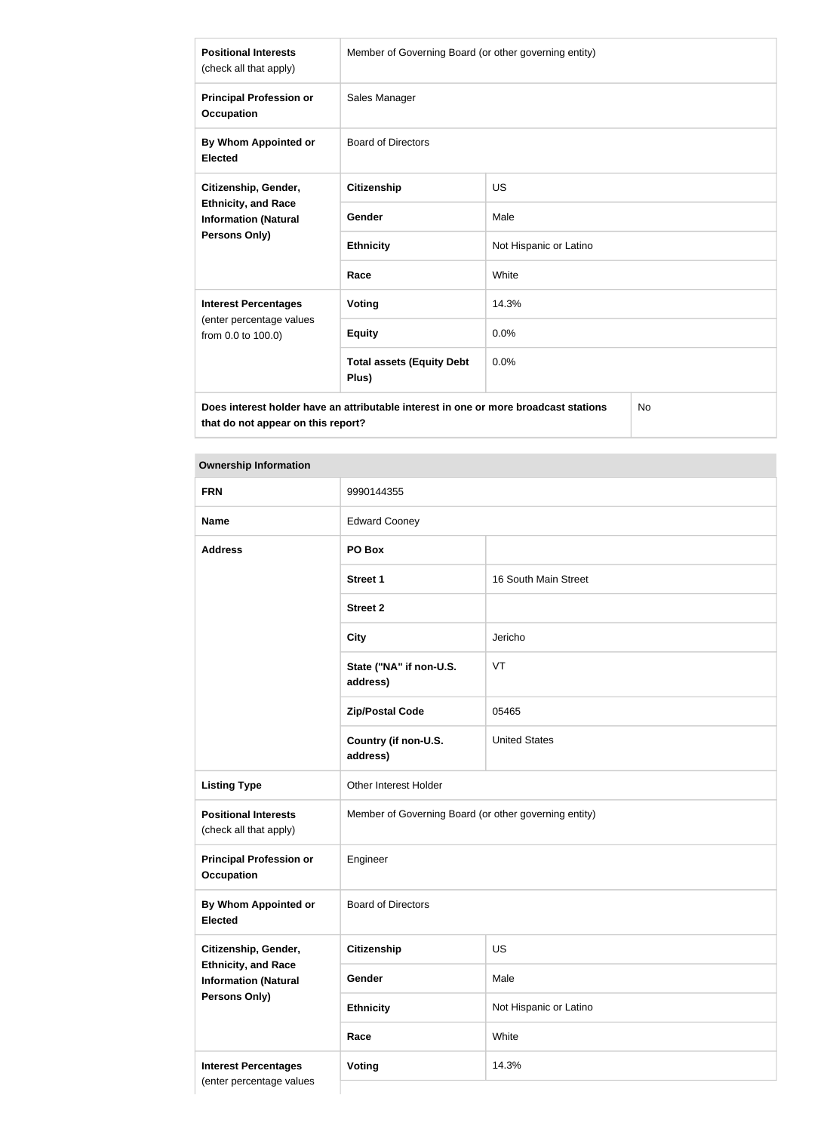| <b>Positional Interests</b><br>(check all that apply)                                                                                                                                                                               | Member of Governing Board (or other governing entity) |                        |  |
|-------------------------------------------------------------------------------------------------------------------------------------------------------------------------------------------------------------------------------------|-------------------------------------------------------|------------------------|--|
| <b>Principal Profession or</b><br><b>Occupation</b>                                                                                                                                                                                 | Sales Manager                                         |                        |  |
| By Whom Appointed or<br><b>Elected</b>                                                                                                                                                                                              | <b>Board of Directors</b>                             |                        |  |
| Citizenship, Gender,<br><b>Ethnicity, and Race</b><br><b>Information (Natural</b><br><b>Persons Only)</b>                                                                                                                           | <b>Citizenship</b>                                    | <b>US</b>              |  |
|                                                                                                                                                                                                                                     | Gender                                                | Male                   |  |
|                                                                                                                                                                                                                                     | <b>Ethnicity</b>                                      | Not Hispanic or Latino |  |
|                                                                                                                                                                                                                                     | Race                                                  | White                  |  |
| <b>Interest Percentages</b><br>(enter percentage values<br>from 0.0 to 100.0)                                                                                                                                                       | <b>Voting</b>                                         | 14.3%                  |  |
|                                                                                                                                                                                                                                     | <b>Equity</b>                                         | 0.0%                   |  |
|                                                                                                                                                                                                                                     | <b>Total assets (Equity Debt</b><br>Plus)             | 0.0%                   |  |
| <b>The contract of the contract of the second contract of the contract of the contract of the contract of the contract of the contract of the contract of the contract of the contract of the contract of the contract of the c</b> |                                                       |                        |  |

**Does interest holder have an attributable interest in one or more broadcast stations that do not appear on this report?**

No

# **Ownership Information**

| <b>FRN</b>                                                                 | 9990144355                                            |                        |
|----------------------------------------------------------------------------|-------------------------------------------------------|------------------------|
| <b>Name</b>                                                                | <b>Edward Cooney</b>                                  |                        |
| <b>Address</b>                                                             | PO Box                                                |                        |
|                                                                            | <b>Street 1</b>                                       | 16 South Main Street   |
|                                                                            | <b>Street 2</b>                                       |                        |
|                                                                            | <b>City</b>                                           | Jericho                |
|                                                                            | State ("NA" if non-U.S.<br>address)                   | VT                     |
|                                                                            | <b>Zip/Postal Code</b>                                | 05465                  |
|                                                                            | Country (if non-U.S.<br>address)                      | <b>United States</b>   |
| <b>Listing Type</b>                                                        | Other Interest Holder                                 |                        |
| <b>Positional Interests</b><br>(check all that apply)                      | Member of Governing Board (or other governing entity) |                        |
| <b>Principal Profession or</b><br><b>Occupation</b>                        | Engineer                                              |                        |
| By Whom Appointed or<br><b>Elected</b>                                     | <b>Board of Directors</b>                             |                        |
| Citizenship, Gender,                                                       | <b>Citizenship</b>                                    | US                     |
| <b>Ethnicity, and Race</b><br><b>Information (Natural</b><br>Persons Only) | Gender                                                | Male                   |
|                                                                            | <b>Ethnicity</b>                                      | Not Hispanic or Latino |
|                                                                            | Race                                                  | White                  |
| <b>Interest Percentages</b><br>(enter percentage values                    | <b>Voting</b>                                         | 14.3%                  |
|                                                                            |                                                       |                        |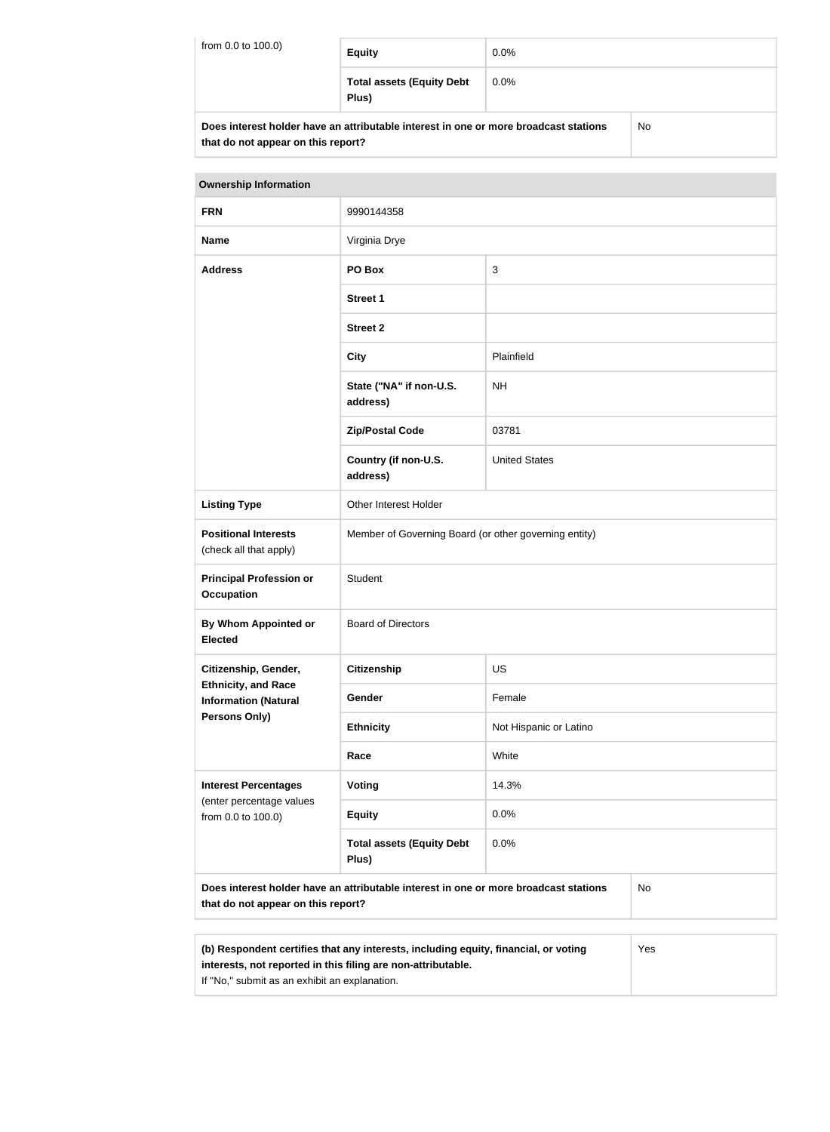| from 0.0 to 100.0)                                                                   | <b>Equity</b>                             | $0.0\%$ |    |
|--------------------------------------------------------------------------------------|-------------------------------------------|---------|----|
|                                                                                      | <b>Total assets (Equity Debt</b><br>Plus) | $0.0\%$ |    |
| Does interest holder have an attributable interest in one or more broadcast stations |                                           |         | No |

| Does interest noiger have an attributable interest in one or more proadcast stations |  |
|--------------------------------------------------------------------------------------|--|
| that do not appear on this report?                                                   |  |

| <b>Ownership Information</b>                                                                                                            |                                                       |                        |  |
|-----------------------------------------------------------------------------------------------------------------------------------------|-------------------------------------------------------|------------------------|--|
| <b>FRN</b>                                                                                                                              | 9990144358                                            |                        |  |
| <b>Name</b>                                                                                                                             | Virginia Drye                                         |                        |  |
| <b>Address</b>                                                                                                                          | PO Box                                                | $\sqrt{3}$             |  |
|                                                                                                                                         | <b>Street 1</b>                                       |                        |  |
|                                                                                                                                         | <b>Street 2</b>                                       |                        |  |
|                                                                                                                                         | <b>City</b>                                           | Plainfield             |  |
|                                                                                                                                         | State ("NA" if non-U.S.<br>address)                   | <b>NH</b>              |  |
|                                                                                                                                         | <b>Zip/Postal Code</b>                                | 03781                  |  |
|                                                                                                                                         | Country (if non-U.S.<br>address)                      | <b>United States</b>   |  |
| <b>Listing Type</b>                                                                                                                     | Other Interest Holder                                 |                        |  |
| <b>Positional Interests</b><br>(check all that apply)                                                                                   | Member of Governing Board (or other governing entity) |                        |  |
| <b>Principal Profession or</b><br><b>Occupation</b>                                                                                     | Student                                               |                        |  |
| By Whom Appointed or<br><b>Elected</b>                                                                                                  | <b>Board of Directors</b>                             |                        |  |
| Citizenship, Gender,                                                                                                                    | <b>Citizenship</b>                                    | <b>US</b>              |  |
| <b>Ethnicity, and Race</b><br><b>Information (Natural</b>                                                                               | Gender                                                | Female                 |  |
| <b>Persons Only)</b>                                                                                                                    | <b>Ethnicity</b>                                      | Not Hispanic or Latino |  |
|                                                                                                                                         | Race                                                  | White                  |  |
| <b>Interest Percentages</b><br>(enter percentage values                                                                                 | <b>Voting</b>                                         | 14.3%                  |  |
| from 0.0 to 100.0)                                                                                                                      | <b>Equity</b>                                         | 0.0%                   |  |
|                                                                                                                                         | <b>Total assets (Equity Debt</b><br>Plus)             | 0.0%                   |  |
| Does interest holder have an attributable interest in one or more broadcast stations<br><b>No</b><br>that do not appear on this report? |                                                       |                        |  |

| (b) Respondent certifies that any interests, including equity, financial, or voting | Yes |
|-------------------------------------------------------------------------------------|-----|
| interests, not reported in this filing are non-attributable.                        |     |
| If "No," submit as an exhibit an explanation.                                       |     |